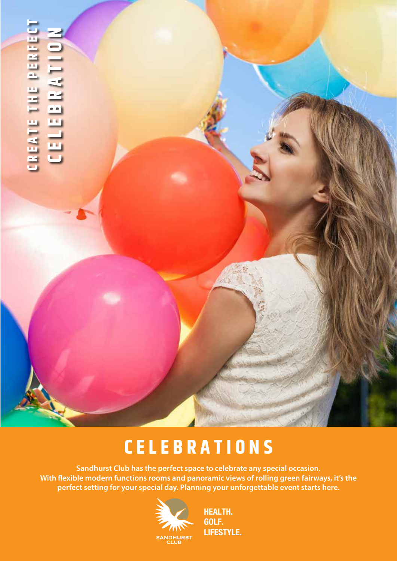# CREATE THE PERFECT **CREATE THE PERFECT**<br>CELEBRATION **CELEBRATION**

# **CELEBRATIONS**

**Sandhurst Club has the perfect space to celebrate any special occasion. With flexible modern functions rooms and panoramic views of rolling green fairways, it's the perfect setting for your special day. Planning your unforgettable event starts here.**



**HEALTH. GOLF. LIFESTYLE.**

 $\mathcal{A}^{(1)}$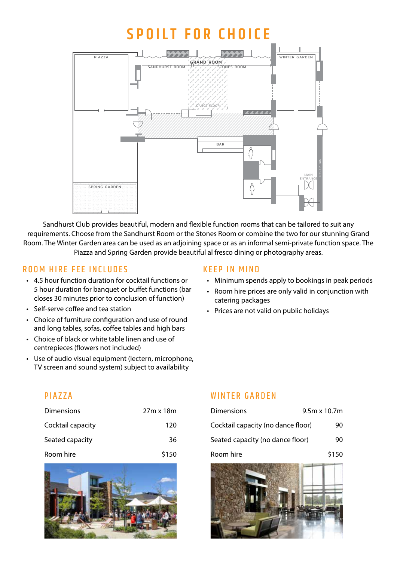# **Spoilt for choice**



Sandhurst Club provides beautiful, modern and flexible function rooms that can be tailored to suit any requirements. Choose from the Sandhurst Room or the Stones Room or combine the two for our stunning Grand Room. The Winter Garden area can be used as an adjoining space or as an informal semi-private function space. The Piazza and Spring Garden provide beautiful al fresco dining or photography areas.

## ROOM HIRE FFE INCLUDES

- • 4.5 hour function duration for cocktail functions or 5 hour duration for banquet or buffet functions (bar closes 30 minutes prior to conclusion of function)
- • Self-serve coffee and tea station
- Choice of furniture configuration and use of round and long tables, sofas, coffee tables and high bars
- Choice of black or white table linen and use of centrepieces (flowers not included)
- Use of audio visual equipment (lectern, microphone, TV screen and sound system) subject to availability

#### Keep in mind

- Minimum spends apply to bookings in peak periods
- Room hire prices are only valid in conjunction with catering packages
- • Prices are not valid on public holidays

## **PIAZZA**

| Dimensions        | 27m x 18m |
|-------------------|-----------|
| Cocktail capacity | 120       |
| Seated capacity   | 36        |
| Room hire         | \$150     |



## WINTER GARDEN

| <b>Dimensions</b>                  | $9.5m \times 10.7m$ |
|------------------------------------|---------------------|
| Cocktail capacity (no dance floor) | 90                  |
| Seated capacity (no dance floor)   | 90                  |
| Room hire                          | \$150               |

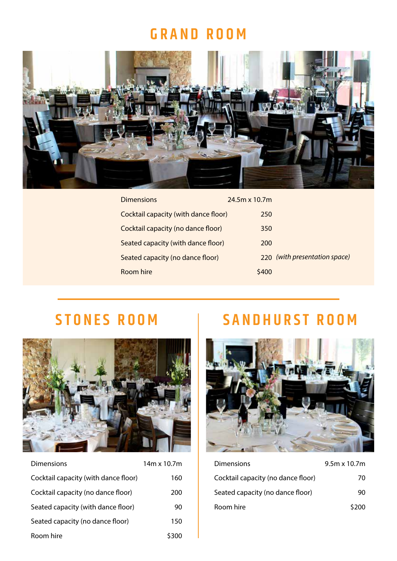# **Grand room**



| <b>Dimensions</b>                    | $24.5m \times 10.7m$          |  |
|--------------------------------------|-------------------------------|--|
| Cocktail capacity (with dance floor) | 250                           |  |
| Cocktail capacity (no dance floor)   | 350                           |  |
| Seated capacity (with dance floor)   | 200                           |  |
| Seated capacity (no dance floor)     | 220 (with presentation space) |  |
| Room hire                            | \$400                         |  |

# **Stone s room**



| Dimensions                           | 14m x 10.7m |
|--------------------------------------|-------------|
| Cocktail capacity (with dance floor) | 160         |
| Cocktail capacity (no dance floor)   | 200         |
| Seated capacity (with dance floor)   | 90          |
| Seated capacity (no dance floor)     | 150         |
| Room hire                            | \$300       |

# **SANDHURST ROOM**



| <b>Dimensions</b>                  | $9.5m \times 10.7m$ |
|------------------------------------|---------------------|
| Cocktail capacity (no dance floor) | 70                  |
| Seated capacity (no dance floor)   | 90                  |
| Room hire                          | \$200               |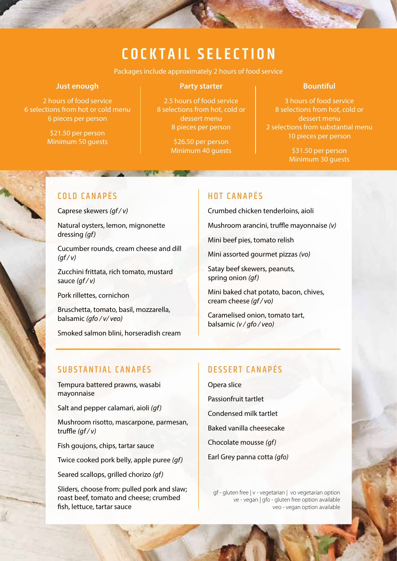# **C ocktail s election**

Packages include approximately 2 hours of food service

#### **Just enough**

2 hours of food service 6 selections from hot or cold menu 6 pieces per person

> \$21.50 per person Minimum 50 guests

#### **Party starter**

2.5 hours of food service 8 selections from hot, cold or dessert menu 8 pieces per person

> \$26.50 per person Minimum 40 guests

#### **Bountiful**

 hours of food service selections from hot, cold or dessert menu selections from substantial menu pieces per person

> \$31.50 per person Minimum 30 guests

## COLD CANAPÉS

Caprese skewers *(gf / v)*

Natural oysters, lemon, mignonette dressing *(gf)*

Cucumber rounds, cream cheese and dill *(gf / v)*

Zucchini frittata, rich tomato, mustard sauce *(gf / v)*

Pork rillettes, cornichon

Bruschetta, tomato, basil, mozzarella, balsamic *(gfo / v/ veo)*

Smoked salmon blini, horseradish cream

#### HOT CANAPÉS

Crumbed chicken tenderloins, aioli

Mushroom arancini, truffle mayonnaise *(v)*

Mini beef pies, tomato relish

Mini assorted gourmet pizzas *(vo)*

Satay beef skewers, peanuts, spring onion *(gf)*

Mini baked chat potato, bacon, chives, cream cheese *(gf / vo)*

Caramelised onion, tomato tart, balsamic *(v / gfo / veo)*

## SUBSTANTIAL CANAPÉS

Tempura battered prawns, wasabi mayonnaise

Salt and pepper calamari, aioli *(gf)*

Mushroom risotto, mascarpone, parmesan, truffle *(gf / v)*

Fish goujons, chips, tartar sauce

Twice cooked pork belly, apple puree *(gf)*

Seared scallops, grilled chorizo *(gf)*

Sliders, choose from: pulled pork and slaw; roast beef, tomato and cheese; crumbed fish, lettuce, tartar sauce

## DESSERT CANAPÉS

Opera slice Passionfruit tartlet Condensed milk tartlet Baked vanilla cheesecake Chocolate mousse *(gf)* Earl Grey panna cotta *(gfo)*

gf - gluten free | v - vegetarian | vo vegetarian option ve - vegan | gfo - gluten free option available veo - vegan option available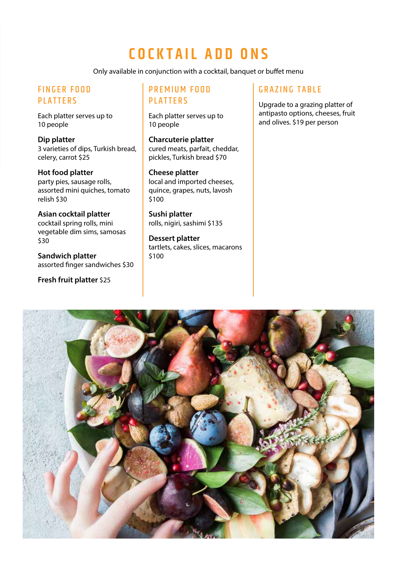# **C ocktail s election C ocktail add on s**

Only available in conjunction with a cocktail, banquet or buffet menu

# **FINGER FOOD PLATTERS**

Each platter serves up to 10 people

**Dip platter** 3 varieties of dips, Turkish bread, celery, carrot \$25

**Hot food platter** party pies, sausage rolls, assorted mini quiches, tomato relish \$30

**Asian cocktail platter** cocktail spring rolls, mini vegetable dim sims, samosas \$30

**Sandwich platter** assorted finger sandwiches \$30

**Fresh fruit platter** \$25

## PREMIUM FOOD **PLATTERS**

Each platter serves up to 10 people

**Charcuterie platter** cured meats, parfait, cheddar, pickles, Turkish bread \$70

#### **Cheese platter**

local and imported cheeses, quince, grapes, nuts, lavosh \$100

**Sushi platter** rolls, nigiri, sashimi \$135

**Dessert platter** tartlets, cakes, slices, macarons \$100

## **GRAZING TABLE**

Upgrade to a grazing platter of antipasto options, cheeses, fruit and olives. \$19 per person

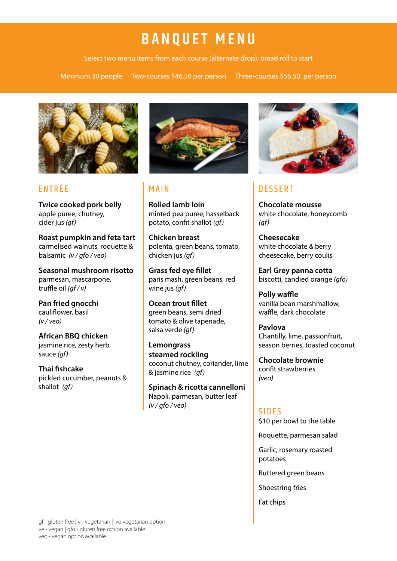# **Banquet menu**

Select two menu items from each course (alternate drop), bread roll to start

Minimum 30 people Two-courses \$46.50 per person Three-courses \$56.50 per person



# **ENTRÉE**

**Twice cooked pork belly** apple puree, chutney, cider jus *(gf)*

**Roast pumpkin and feta tart** carmelised walnuts, roquette & balsamic *(v / gfo / veo)*

**Seasonal mushroom risotto** parmesan, mascarpone, truffle oil *(gf / v)*

**Pan fried gnocchi** cauliflower, basil *(v / veo)*

**African BBQ chicken** jasmine rice, zesty herb sauce *(gf)*

**Thai fishcake** pickled cucumber, peanuts & shallot *(gf)*



## Main

**Rolled lamb loin** minted pea puree, hasselback potato, confit shallot *(gf)*

**Chicken breast** polenta, green beans, tomato, chicken jus *(gf)*

**Grass fed eye fillet** paris mash, green beans, red wine jus *(gf)*

**Ocean trout fillet** green beans, semi dried tomato & olive tapenade, salsa verde *(gf)*

**Lemongrass steamed rockling** coconut chutney, coriander, lime & jasmine rice *(gf)*

**Spinach & ricotta cannelloni** Napoli, parmesan, butter leaf *(v / gfo / veo)*



# **DESSERT**

**Chocolate mousse** white chocolate, honeycomb *(gf)*

**Cheesecake** white chocolate & berry cheesecake, berry coulis

**Earl Grey panna cotta** biscotti, candied orange *(gfo)*

**Polly waffle** vanilla bean marshmallow, waffle, dark chocolate

**Pavlova** Chantilly, lime, passionfruit, season berries, toasted coconut

**Chocolate brownie** confit strawberries *(veo)* 

# **SIDES**

\$10 per bowl to the table

Roquette, parmesan salad

Garlic, rosemary roasted potatoes

Buttered green beans

Shoestring fries

Fat chips

gf - gluten free | v - vegetarian | vo vegetarian option ve - vegan | gfo - gluten free option available veo - vegan option available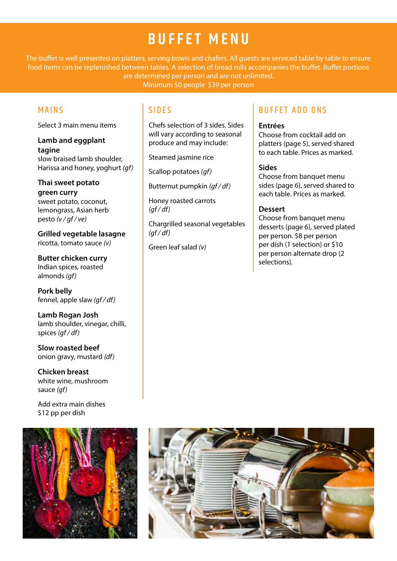# **Buffet menu**

The buffet is well presented on platters, serving bowls and chafers. All guests are serviced table by table to ensure food items can be replenished between tables. A selection of bread rolls accompanies the buffet. Buffet portions are determined per person and are not unlimited.

Minimum 50 people \$39 per person

## Mains

Select 3 main menu items

**Lamb and eggplant tagine** slow braised lamb shoulder, Harissa and honey, yoghurt *(gf)*

**Thai sweet potato green curry** sweet potato, coconut, lemongrass, Asian herb pesto *(v / gf / ve)*

**Grilled vegetable lasagne** ricotta, tomato sauce *(v)*

**Butter chicken curry** Indian spices, roasted almonds *(gf)*

**Pork belly** fennel, apple slaw *(gf / df)*

**Lamb Rogan Josh** lamb shoulder, vinegar, chilli, spices *(gf / df)*

**Slow roasted beef** onion gravy, mustard *(df)*

**Chicken breast** white wine, mushroom sauce *(gf)*

Add extra main dishes \$12 pp per dish



## **SIDES**

Chefs selection of 3 sides. Sides will vary according to seasonal produce and may include:

Steamed jasmine rice

Scallop potatoes *(gf)*

Butternut pumpkin *(gf / df)*

Honey roasted carrots *(gf / df)*

Chargrilled seasonal vegetables *(gf / df)*

Green leaf salad *(v)*

## B uffet add ons

#### **Entrées**

Choose from cocktail add on platters (page 5), served shared to each table. Prices as marked.

#### **Sides**

Choose from banquet menu sides (page 6), served shared to each table. Prices as marked.

#### **Dessert**

Choose from banquet menu desserts (page 6), served plated per person. \$8 per person per dish (1 selection) or \$10 per person alternate drop (2 selections).